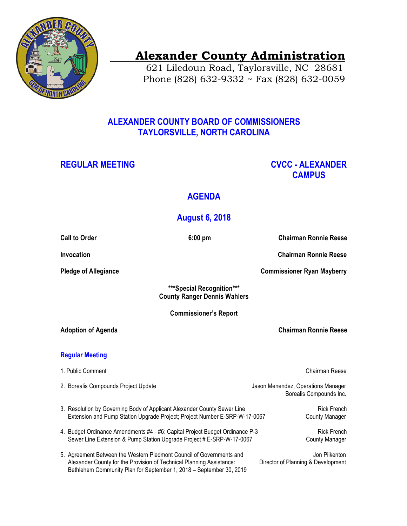

# **Alexander County Administration**

 621 Liledoun Road, Taylorsville, NC 28681 Phone (828) 632-9332 ~ Fax (828) 632-0059

### **ALEXANDER COUNTY BOARD OF COMMISSIONERS TAYLORSVILLE, NORTH CAROLINA**

### **REGULAR MEETING CVCC - ALEXANDER CAMPUS**

## **AGENDA**

## **August 6, 2018**

|                              | <b>Call to Order</b>                                                                                                                                                                                                | $6:00$ pm |                                    | <b>Chairman Ronnie Reese</b>                        |  |
|------------------------------|---------------------------------------------------------------------------------------------------------------------------------------------------------------------------------------------------------------------|-----------|------------------------------------|-----------------------------------------------------|--|
|                              | Invocation                                                                                                                                                                                                          |           |                                    | <b>Chairman Ronnie Reese</b>                        |  |
| <b>Pledge of Allegiance</b>  |                                                                                                                                                                                                                     |           |                                    | <b>Commissioner Ryan Mayberry</b>                   |  |
|                              | ***Special Recognition***<br><b>County Ranger Dennis Wahlers</b>                                                                                                                                                    |           |                                    |                                                     |  |
| <b>Commissioner's Report</b> |                                                                                                                                                                                                                     |           |                                    |                                                     |  |
| <b>Adoption of Agenda</b>    |                                                                                                                                                                                                                     |           | <b>Chairman Ronnie Reese</b>       |                                                     |  |
| <b>Regular Meeting</b>       |                                                                                                                                                                                                                     |           |                                    |                                                     |  |
|                              | 1. Public Comment                                                                                                                                                                                                   |           |                                    | Chairman Reese                                      |  |
|                              | 2. Borealis Compounds Project Update                                                                                                                                                                                |           | Jason Menendez, Operations Manager | Borealis Compounds Inc.                             |  |
|                              | 3. Resolution by Governing Body of Applicant Alexander County Sewer Line<br>Extension and Pump Station Upgrade Project; Project Number E-SRP-W-17-0067                                                              |           |                                    | <b>Rick French</b><br><b>County Manager</b>         |  |
|                              | 4. Budget Ordinance Amendments #4 - #6: Capital Project Budget Ordinance P-3<br>Sewer Line Extension & Pump Station Upgrade Project # E-SRP-W-17-0067                                                               |           |                                    | <b>Rick French</b><br><b>County Manager</b>         |  |
|                              | 5. Agreement Between the Western Piedmont Council of Governments and<br>Alexander County for the Provision of Technical Planning Assistance:<br>Bethlehem Community Plan for September 1, 2018 - September 30, 2019 |           |                                    | Jon Pilkenton<br>Director of Planning & Development |  |